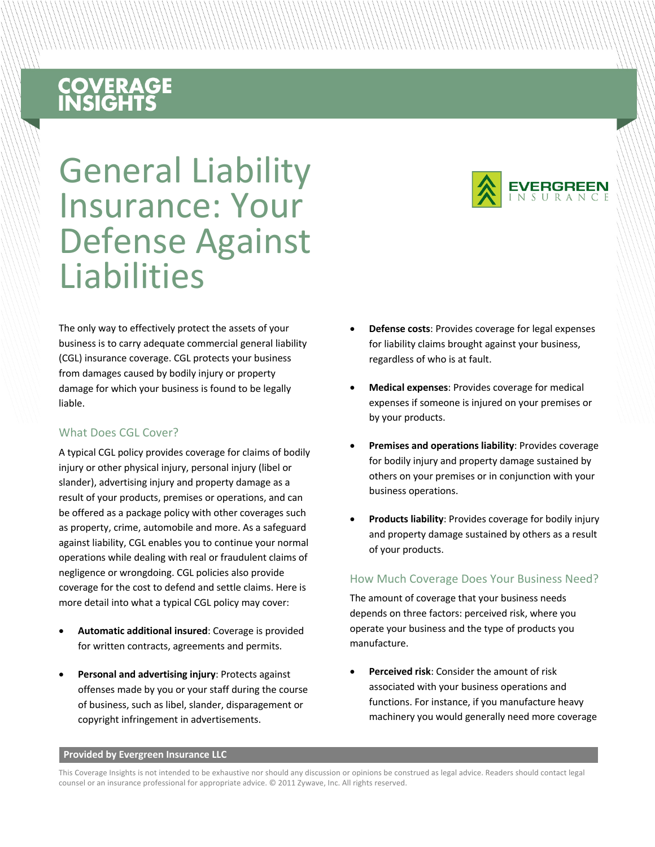# **COVERAGE**<br>INSIGHTS

General Liability Insurance: Your Defense Against Liabilities

The only way to effectively protect the assets of your business is to carry adequate commercial general liability (CGL) insurance coverage. CGL protects your business from damages caused by bodily injury or property damage for which your business is found to be legally liable.

#### What Does CGL Cover?

A typical CGL policy provides coverage for claims of bodily injury or other physical injury, personal injury (libel or slander), advertising injury and property damage as a result of your products, premises or operations, and can be offered as a package policy with other coverages such as property, crime, automobile and more. As a safeguard against liability, CGL enables you to continue your normal operations while dealing with real or fraudulent claims of negligence or wrongdoing. CGL policies also provide coverage for the cost to defend and settle claims. Here is more detail into what a typical CGL policy may cover:

- **Automatic additional insured**: Coverage is provided for written contracts, agreements and permits.
- **Personal and advertising injury**: Protects against offenses made by you or your staff during the course of business, such as libel, slander, disparagement or copyright infringement in advertisements.



- **Defense costs**: Provides coverage for legal expenses for liability claims brought against your business, regardless of who is at fault.
- **Medical expenses**: Provides coverage for medical expenses if someone is injured on your premises or by your products.
- **Premises and operations liability**: Provides coverage for bodily injury and property damage sustained by others on your premises or in conjunction with your business operations.
- **Products liability**: Provides coverage for bodily injury and property damage sustained by others as a result of your products.

#### How Much Coverage Does Your Business Need?

The amount of coverage that your business needs depends on three factors: perceived risk, where you operate your business and the type of products you manufacture.

• **Perceived risk**: Consider the amount of risk associated with your business operations and functions. For instance, if you manufacture heavy machinery you would generally need more coverage

#### **Provided by Evergreen Insurance LLC**

This Coverage Insights is not intended to be exhaustive nor should any discussion or opinions be construed as legal advice. Readers should contact legal counsel or an insurance professional for appropriate advice. © 2011 Zywave, Inc. All rights reserved.